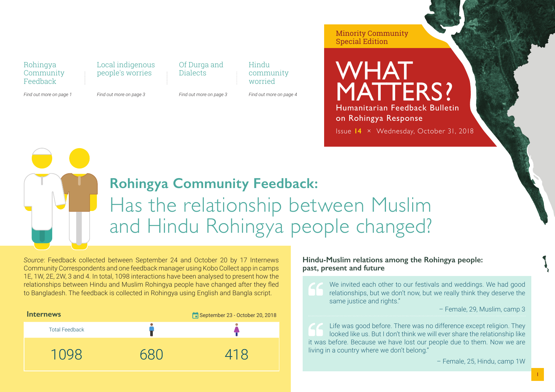#### Rohingya **Community** Feedback

*Find out more on page 1*

people's worries

*Find out more on page 3*

Local indigenous

Dialects

Of Durga and

*Find out more on page 3*

Hindu community worried

*Find out more on page 4*

Minority Community Special Edition

WHAT MATTERS? Humanitarian Feedback Bulletin on Rohingya Response Issue **14** × Wednesday, October 31, 2018

### **Rohingya Community Feedback:** Has the relationship between Muslim and Hindu Rohingya people changed?

*Source*: Feedback collected between September 24 and October 20 by 17 Internews Community Correspondents and one feedback manager using Kobo Collect app in camps 1E, 1W, 2E, 2W, 3 and 4. In total, 1098 interactions have been analysed to present how the relationships between Hindu and Muslim Rohingya people have changed after they fled to Bangladesh. The feedback is collected in Rohingya using English and Bangla script.

| <b>Internews</b>      | September 23 - October 20, 2018 |
|-----------------------|---------------------------------|
| <b>Total Feedback</b> |                                 |
| 11<br><b>HUL</b>      | 418                             |

#### **Hindu-Muslim relations among the Rohingya people: past, present and future**

We invited each other to our festivals and weddings. We had good relationships, but we don't now, but we really think they deserve the same justice and rights."

– Female, 29, Muslim, camp 3

Life was good before. There was no difference except religion. They looked like us. But I don't think we will ever share the relationship like it was before. Because we have lost our people due to them. Now we are living in a country where we don't belong."

– Female, 25, Hindu, camp 1W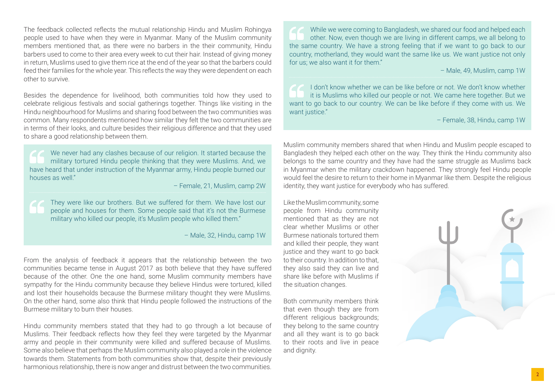The feedback collected reflects the mutual relationship Hindu and Muslim Rohingya people used to have when they were in Myanmar. Many of the Muslim community members mentioned that, as there were no barbers in the their community, Hindu barbers used to come to their area every week to cut their hair. Instead of giving money in return, Muslims used to give them rice at the end of the year so that the barbers could feed their families for the whole year. This reflects the way they were dependent on each other to survive.

Besides the dependence for livelihood, both communities told how they used to celebrate religious festivals and social gatherings together. Things like visiting in the Hindu neighbourhood for Muslims and sharing food between the two communities was common. Many respondents mentioned how similar they felt the two communities are in terms of their looks, and culture besides their religious difference and that they used to share a good relationship between them.

We never had any clashes because of our religion. It started because the military tortured Hindu people thinking that they were Muslims. And, we have heard that under instruction of the Myanmar army, Hindu people burned our houses as well"

– Female, 21, Muslim, camp 2W

They were like our brothers. But we suffered for them. We have lost our people and houses for them. Some people said that it's not the Burmese military who killed our people, it's Muslim people who killed them."

– Male, 32, Hindu, camp 1W

From the analysis of feedback it appears that the relationship between the two communities became tense in August 2017 as both believe that they have suffered because of the other. One the one hand, some Muslim community members have sympathy for the Hindu community because they believe Hindus were tortured, killed and lost their households because the Burmese military thought they were Muslims. On the other hand, some also think that Hindu people followed the instructions of the Burmese military to burn their houses.

Hindu community members stated that they had to go through a lot because of Muslims. Their feedback reflects how they feel they were targeted by the Myanmar army and people in their community were killed and suffered because of Muslims. Some also believe that perhaps the Muslim community also played a role in the violence towards them. Statements from both communities show that, despite their previously harmonious relationship, there is now anger and distrust between the two communities.

While we were coming to Bangladesh, we shared our food and helped each other. Now, even though we are living in different camps, we all belong to the same country. We have a strong feeling that if we want to go back to our country, motherland, they would want the same like us. We want justice not only for us; we also want it for them."

– Male, 49, Muslim, camp 1W

I don't know whether we can be like before or not. We don't know whether it is Muslims who killed our people or not. We came here together. But we want to go back to our country. We can be like before if they come with us. We want justice."

– Female, 38, Hindu, camp 1W

Muslim community members shared that when Hindu and Muslim people escaped to Bangladesh they helped each other on the way. They think the Hindu community also belongs to the same country and they have had the same struggle as Muslims back in Myanmar when the military crackdown happened. They strongly feel Hindu people would feel the desire to return to their home in Myanmar like them. Despite the religious identity, they want justice for everybody who has suffered.

Like the Muslim community, some people from Hindu community mentioned that as they are not clear whether Muslims or other Burmese nationals tortured them and killed their people, they want justice and they want to go back to their country. In addition to that, they also said they can live and share like before with Muslims if the situation changes.

Both community members think that even though they are from different religious backgrounds; they belong to the same country and all they want is to go back to their roots and live in peace and dignity.

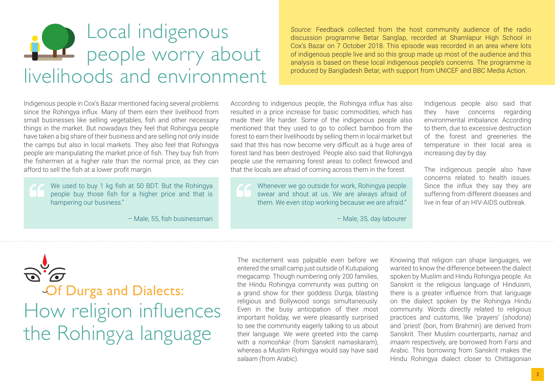## Local indigenous people worry about livelihoods and environment

*Source:* Feedback collected from the host community audience of the radio discussion programme Betar Sanglap, recorded at Shamlapur High School in Cox's Bazar on 7 October 2018. This episode was recorded in an area where lots of indigenous people live and so this group made up most of the audience and this analysis is based on these local indigenous people's concerns. The programme is produced by Bangladesh Betar, with support from UNICEF and BBC Media Action.

Indigenous people in Cox's Bazar mentioned facing several problems since the Rohingya influx. Many of them earn their livelihood from small businesses like selling vegetables, fish and other necessary things in the market. But nowadays they feel that Rohingya people have taken a big share of their business and are selling not only inside the camps but also in local markets. They also feel that Rohingya people are manipulating the market price of fish. They buy fish from the fishermen at a higher rate than the normal price, as they can afford to sell the fish at a lower profit margin.

We used to buy 1 kg fish at 50 BDT. But the Rohingya people buy those fish for a higher price and that is hampering our business."

– Male, 55, fish businessman

According to indigenous people, the Rohingya influx has also resulted in a price increase for basic commodities, which has made their life harder. Some of the indigenous people also mentioned that they used to go to collect bamboo from the forest to earn their livelihoods by selling them in local market but said that this has now become very difficult as a huge area of forest land has been destroyed. People also said that Rohingya people use the remaining forest areas to collect firewood and that the locals are afraid of coming across them in the forest.

Whenever we go outside for work, Rohingya people swear and shout at us. We are always afraid of them. We even stop working because we are afraid."

– Male, 35, day labourer

Indigenous people also said that they have concerns regarding environmental imbalance. According to them, due to excessive destruction of the forest and greeneries the temperature in their local area is increasing day by day.

The indigenous people also have concerns related to health issues. Since the influx they say they are suffering from different diseases and live in fear of an HIV-AIDS outbreak.

Of Durga and Dialects: How religion influences the Rohingya language

The excitement was palpable even before we entered the small camp just outside of Kutupalong megacamp. Though numbering only 200 families, the Hindu Rohingya community was putting on a grand show for their goddess Durga, blasting religious and Bollywood songs simultaneously. Even in the busy anticipation of their most important holiday, we were pleasantly surprised to see the community eagerly talking to us about their language. We were greeted into the camp with a *nomoshkar* (from Sanskrit *namaskaram*), whereas a Muslim Rohingya would say have said *salaam* (from Arabic).

Knowing that religion can shape languages, we wanted to know the difference between the dialect spoken by Muslim and Hindu Rohingya people. As Sanskrit is the religious language of Hinduism, there is a greater influence from that language on the dialect spoken by the Rohingya Hindu community. Words directly related to religious practices and customs, like 'prayers' (*shodona*) and 'priest' (bon, from Brahmin) are derived from Sanskrit. Their Muslim counterparts, *namaz* and *imaam* respectively, are borrowed from Farsi and Arabic. This borrowing from Sanskrit makes the Hindu Rohingya dialect closer to Chittagonian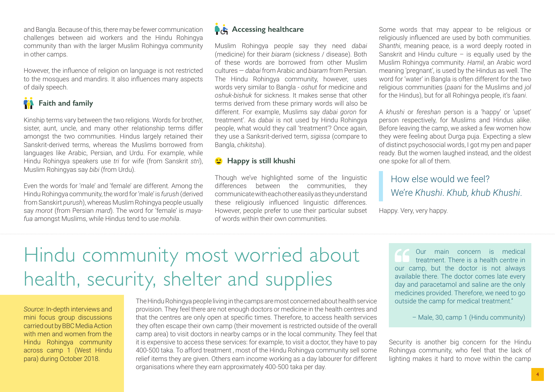and Bangla. Because of this, there may be fewer communication challenges between aid workers and the Hindu Rohingya community than with the larger Muslim Rohingya community in other camps.

However, the influence of religion on language is not restricted to the mosques and mandirs. It also influences many aspects of daily speech.



Kinship terms vary between the two religions. Words for brother, sister, aunt, uncle, and many other relationship terms differ amongst the two communities. Hindus largely retained their Sanskrit-derived terms, whereas the Muslims borrowed from languages like Arabic, Persian, and Urdu. For example, while Hindu Rohingya speakers use *tri* for wife (from Sanskrit *stri*), Muslim Rohingyas say *bibi* (from Urdu).

Even the words for 'male' and 'female' are different. Among the Hindu Rohingya community, the word for 'male' is *furush* (derived from Sanskirt *purush*), whereas Muslim Rohingya people usually say *morot* (from Persian *mard*). The word for 'female' is *mayafua* amongst Muslims, while Hindus tend to use *mohila*.



Muslim Rohingya people say they need *dabai* (medicine) for their *biaram* (sickness / disease). Both of these words are borrowed from other Muslim cultures — *dabai* from Arabic and *biaram* from Persian. The Hindu Rohingya community, however, uses words very similar to Bangla - *oshut* for medicine and *oshuk-bishuk* for sickness. It makes sense that other terms derived from these primary words will also be different. For example, Muslims say *dabai goron* for treatment'. As *dabai* is not used by Hindu Rohingya people, what would they call 'treatment'? Once again, they use a Sanksrit-derived term, *sigissa* (compare to Bangla, *chikitsha*).

#### *C* Happy is still khushi

Though we've highlighted some of the linguistic differences between the communities, they communicate with each other easily as they understand these religiously influenced linguistic differences. However, people prefer to use their particular subset of words within their own communities.

Some words that may appear to be religious or religiously influenced are used by both communities. *Shanthi*, meaning peace, is a word deeply rooted in Sanskrit and Hindu culture – is equally used by the Muslim Rohingya community. *Hamil*, an Arabic word meaning 'pregnant', is used by the Hindus as well. The word for 'water' in Bangla is often different for the two religious communities (*paani* for the Muslims and *jol* for the Hindus), but for all Rohingya people, it's *faani*.

A *khushi* or *fereshan* person is a 'happy' or 'upset' person respectively, for Muslims and Hindus alike. Before leaving the camp, we asked a few women how they were feeling about Durga puja. Expecting a slew of distinct psychosocial words, I got my pen and paper ready. But the women laughed instead, and the oldest one spoke for all of them.

### How else would we feel? We're *Khushi*. *Khub, khub Khushi*.

Happy. Very, very happy.

# Hindu community most worried about health, security, shelter and supplies

*Source*: In-depth interviews and mini focus group discussions carried out by BBC Media Action with men and women from the Hindu Rohingya community across camp 1 (West Hindu para) during October 2018.

The Hindu Rohingya people living in the camps are most concerned about health service provision. They feel there are not enough doctors or medicine in the health centres and that the centres are only open at specific times. Therefore, to access health services they often escape their own camp (their movement is restricted outside of the overall camp area) to visit doctors in nearby camps or in the local community. They feel that it is expensive to access these services: for example, to visit a doctor, they have to pay 400-500 taka. To afford treatment , most of the Hindu Rohingya community sell some relief items they are given. Others earn income working as a day labourer for different organisations where they earn approximately 400-500 taka per day.

Our main concern is medical treatment. There is a health centre in our camp, but the doctor is not always available there. The doctor comes late every day and paracetamol and saline are the only medicines provided. Therefore, we need to go outside the camp for medical treatment."

– Male, 30, camp 1 (Hindu community)

Security is another big concern for the Hindu Rohingya community, who feel that the lack of lighting makes it hard to move within the camp